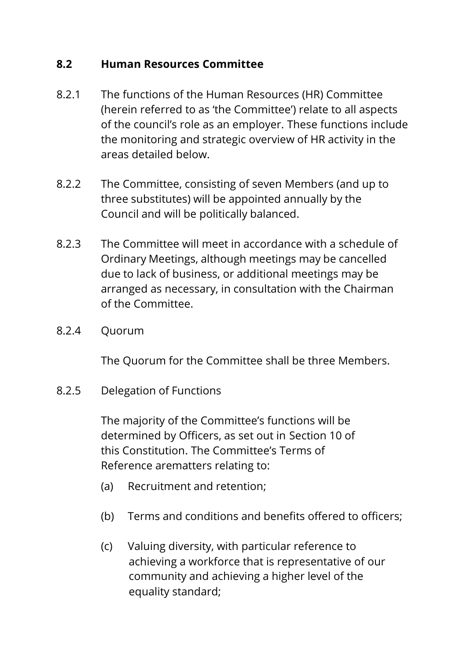## **8.2 Human Resources Committee**

- 8.2.1 The functions of the Human Resources (HR) Committee (herein referred to as 'the Committee') relate to all aspects of the council's role as an employer. These functions include the monitoring and strategic overview of HR activity in the areas detailed below.
- 8.2.2 The Committee, consisting of seven Members (and up to three substitutes) will be appointed annually by the Council and will be politically balanced.
- 8.2.3 The Committee will meet in accordance with a schedule of Ordinary Meetings, although meetings may be cancelled due to lack of business, or additional meetings may be arranged as necessary, in consultation with the Chairman of the Committee.
- 8.2.4 Quorum

The Quorum for the Committee shall be three Members.

8.2.5 Delegation of Functions

The majority of the Committee's functions will be determined by Officers, as set out in Section 10 of this Constitution. The Committee's Terms of Reference arematters relating to:

- (a) Recruitment and retention;
- (b) Terms and conditions and benefits offered to officers;
- (c) Valuing diversity, with particular reference to achieving a workforce that is representative of our community and achieving a higher level of the equality standard;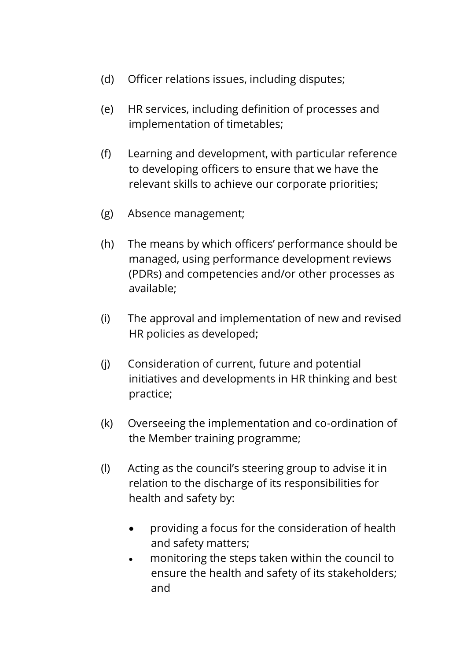- (d) Officer relations issues, including disputes;
- (e) HR services, including definition of processes and implementation of timetables;
- (f) Learning and development, with particular reference to developing officers to ensure that we have the relevant skills to achieve our corporate priorities;
- (g) Absence management;
- (h) The means by which officers' performance should be managed, using performance development reviews (PDRs) and competencies and/or other processes as available;
- (i) The approval and implementation of new and revised HR policies as developed;
- (j) Consideration of current, future and potential initiatives and developments in HR thinking and best practice;
- (k) Overseeing the implementation and co-ordination of the Member training programme;
- (l) Acting as the council's steering group to advise it in relation to the discharge of its responsibilities for health and safety by:
	- providing a focus for the consideration of health and safety matters;
	- monitoring the steps taken within the council to ensure the health and safety of its stakeholders; and